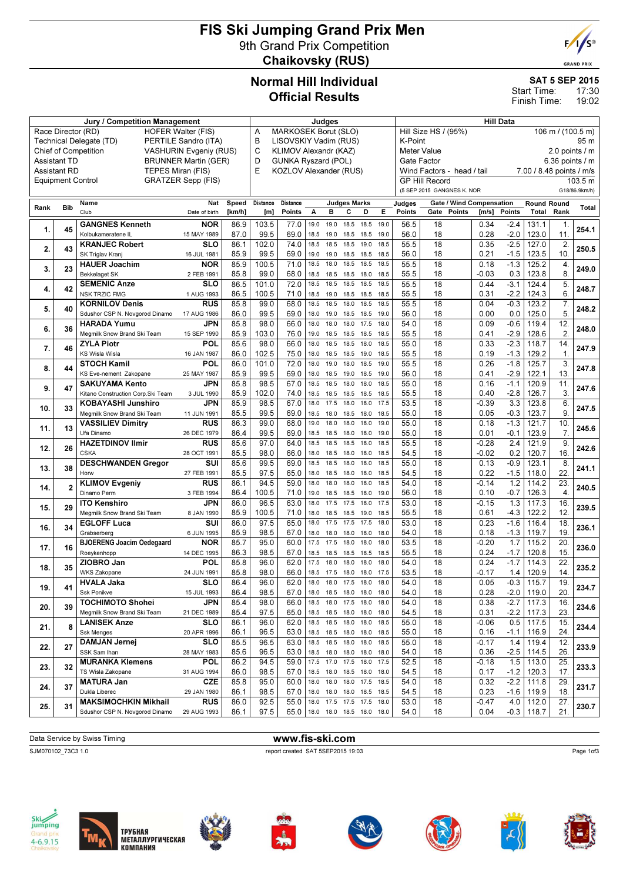# FIS Ski Jumping Grand Prix Men 9th Grand Prix Competition Chaikovsky (RUS)



#### SAT 5 SEP 2015

17:30 19:02 Start Time: Finish Time:

| <b>Jury / Competition Management</b>       |                                                 |                                                       |                             |                                                        |                            | Judges                    |              |                |                                 |                               | <b>Hill Data</b>                          |                                                                                              |                            |                 |               |                             |                   |               |
|--------------------------------------------|-------------------------------------------------|-------------------------------------------------------|-----------------------------|--------------------------------------------------------|----------------------------|---------------------------|--------------|----------------|---------------------------------|-------------------------------|-------------------------------------------|----------------------------------------------------------------------------------------------|----------------------------|-----------------|---------------|-----------------------------|-------------------|---------------|
|                                            | Race Director (RD)<br><b>HOFER Walter (FIS)</b> |                                                       |                             |                                                        |                            | MARKOSEK Borut (SLO)<br>A |              |                |                                 |                               | Hill Size HS / (95%)<br>106 m / (100.5 m) |                                                                                              |                            |                 |               |                             |                   |               |
|                                            |                                                 | Technical Delegate (TD)                               | PERTILE Sandro (ITA)        |                                                        | B<br>LISOVSKIY Vadim (RUS) |                           |              |                |                                 |                               |                                           | K-Point<br>95 m                                                                              |                            |                 |               |                             |                   |               |
|                                            |                                                 | Chief of Competition<br><b>VASHURIN Evgeniy (RUS)</b> |                             | C<br>KLIMOV Alexandr (KAZ)<br>D<br>GUNKA Ryszard (POL) |                            |                           |              |                |                                 | Meter Value<br>2.0 points / m |                                           |                                                                                              |                            |                 |               |                             |                   |               |
| <b>Assistant TD</b><br><b>Assistant RD</b> |                                                 | TEPES Miran (FIS)                                     | <b>BRUNNER Martin (GER)</b> |                                                        | E                          | KOZLOV Alexander (RUS)    |              |                |                                 |                               |                                           | Gate Factor<br>$6.36$ points $/ m$<br>Wind Factors - head / tail<br>7.00 / 8.48 points / m/s |                            |                 |               |                             |                   |               |
| <b>Equipment Control</b>                   |                                                 |                                                       | <b>GRATZER Sepp (FIS)</b>   |                                                        |                            |                           |              |                |                                 |                               |                                           |                                                                                              | <b>GP Hill Record</b>      |                 |               |                             |                   | 103.5 m       |
|                                            |                                                 |                                                       |                             |                                                        |                            |                           |              |                |                                 |                               |                                           |                                                                                              | (5 SEP 2015 GANGNES K. NOR |                 |               |                             |                   | G18/86.9km/h) |
|                                            |                                                 | Name                                                  | Nat                         | Speed                                                  | Distance                   | Distance                  |              |                | <b>Judges Marks</b>             |                               |                                           |                                                                                              | Gate / Wind Compensation   |                 |               |                             |                   |               |
| Rank                                       | Bib                                             | Club                                                  | Date of birth               | [km/h]                                                 | [m]                        | Points                    | А            | B              | с                               | D                             | Е.                                        | Judges<br>Points                                                                             | Gate<br>Points             | [m/s]           | Points        | <b>Round Round</b><br>Total | Rank              | Total         |
|                                            |                                                 | <b>GANGNES Kenneth</b>                                | <b>NOR</b>                  | 86.9                                                   | 103.5                      | 77.0                      | 19.0         | 19.0           | 18.5                            | 18.5                          | 19.0                                      | 56.5                                                                                         | 18                         | 0.34            | $-2.4$        | 131.1                       | 1.                |               |
| 1.                                         | 45                                              | Kolbukameratene IL                                    | 15 MAY 1989                 | 87.0                                                   | 99.5                       | 69.0                      | 18.5         |                | 19.0 18.5 18.5                  |                               | 19.0                                      | 56.0                                                                                         | 18                         | 0.28            | $-2.0$        | 123.0                       | 11.               | 254.1         |
|                                            |                                                 | <b>KRANJEC Robert</b>                                 | SLO                         | 86.1                                                   | 102.0                      | 74.0                      | 18.5         | 18.5           | 18.5                            | 19.0                          | 18.5                                      | 55.5                                                                                         | 18                         | 0.35            | $-2.5$        | 127.0                       | 2.                |               |
| 2.                                         | 43                                              | SK Triglav Kranj                                      | 16 JUL 1981                 | 85.9                                                   | 99.5                       | 69.0                      | 19.0         | 19.0           | 18.5                            | 18.5                          | 18.5                                      | 56.0                                                                                         | 18                         | 0.21            | $-1.5$        | 123.5                       | 10.               | 250.5         |
| 3.                                         | 23                                              | <b>HAUER Joachim</b>                                  | <b>NOR</b>                  | 85.9                                                   | 100.5                      | 71.0                      | 18.5         | 18.0           | 18.5                            | 18.5                          | 18.5                                      | 55.5                                                                                         | 18                         | 0.18            | $-1.3$        | 125.2                       | 4.                | 249.0         |
|                                            |                                                 | <b>Bekkelaget SK</b>                                  | 2 FEB 1991                  | 85.8                                                   | 99.0                       | 68.0                      | 18.5         | 18.5           | 18.5                            | 18.0                          | 18.5                                      | 55.5                                                                                         | 18                         | $-0.03$         | 0.3           | 123.8                       | 8.                |               |
| 4.                                         | 42                                              | <b>SEMENIC Anze</b>                                   | SLO                         | 86.5                                                   | 101.0                      | 72.0                      | 18.5         | 18.5           | 18.5                            | 18.5                          | 18.5                                      | 55.5                                                                                         | 18                         | 0.44            | $-3.1$        | 124.4                       | 5.                | 248.7         |
|                                            |                                                 | <b>NSK TRZIC FMG</b>                                  | 1 AUG 1993                  | 86.5                                                   | 100.5                      | 71.0                      | 18.5         | 19.0           | 18.5                            | 18.5                          | 18.5                                      | 55.5                                                                                         | 18                         | 0.31            | $-2.2$        | 124.3                       | 6.                |               |
| 5.                                         | 40                                              | <b>KORNILOV Denis</b>                                 | RUS                         | 85.8                                                   | 99.0                       | 68.0                      | 18.5         | 18.5           | 18.0                            | 18.5                          | 18.5                                      | 55.5                                                                                         | 18                         | 0.04            | $-0.3$        | 123.2                       | 7.                | 248.2         |
|                                            |                                                 | Sdushor CSP N. Novgorod Dinamo<br><b>HARADA Yumu</b>  | 17 AUG 1986<br>JPN          | 86.0<br>85.8                                           | 99.5<br>98.0               | 69.0<br>66.0              | 18.0<br>18.0 | 19.0<br>18.0   | 18.5<br>18.0                    | 18.5<br>17.5                  | 19.0<br>18.0                              | 56.0<br>54.0                                                                                 | 18<br>18                   | 0.00<br>0.09    | 0.0<br>$-0.6$ | 125.0<br>119.4              | 5.<br>12.         |               |
| 6.                                         | 36                                              | Megmilk Snow Brand Ski Team                           | 15 SEP 1990                 | 85.9                                                   | 103.0                      | 76.0                      | 19.0         | 18.5           | 18.5                            | 18.5                          | 18.5                                      | 55.5                                                                                         | 18                         | 0.41            | $-2.9$        | 128.6                       | 2.                | 248.0         |
|                                            |                                                 | <b>ZYLA Piotr</b>                                     | POL                         | 85.6                                                   | 98.0                       | 66.0                      | 18.0         | 18.5           | 18.5                            | 18.0                          | 18.5                                      | 55.0                                                                                         | 18                         | 0.33            | $-2.3$        | 118.7                       | 14.               |               |
| 7.                                         | 46                                              | KS Wisla Wisla                                        | 16 JAN 1987                 | 86.0                                                   | 102.5                      | 75.0                      | 18.0         | 18.5 18.5      |                                 | 19.0                          | 18.5                                      | 55.5                                                                                         | 18                         | 0.19            | $-1.3$        | 129.2                       | 1.                | 247.9         |
|                                            |                                                 | <b>STOCH Kamil</b>                                    | POL                         | 86.0                                                   | 101.0                      | 72.0                      | 18.0         | 19.0           | 18.0                            | 18.5                          | 19.0                                      | 55.5                                                                                         | 18                         | 0.26            | $-1.8$        | 125.7                       | 3.                |               |
| 8.                                         | 44                                              | KS Eve-nement Zakopane                                | 25 MAY 1987                 | 85.9                                                   | 99.5                       | 69.0                      | 18.0         | 18.5 19.0      |                                 | 18.5                          | 19.0                                      | 56.0                                                                                         | 18                         | 0.41            | $-2.9$        | 122.1                       | 13.               | 247.8         |
| 9.                                         | 47                                              | <b>SAKUYAMA Kento</b>                                 | <b>JPN</b>                  | 85.8                                                   | 98.5                       | 67.0                      | 18.5         | 18.5           | 18.0                            | 18.0                          | 18.5                                      | 55.0                                                                                         | 18                         | 0.16            | $-1.1$        | 120.9                       | 11.               | 247.6         |
|                                            |                                                 | Kitano Construction Corp. Ski Team                    | 3 JUL 1990                  | 85.9                                                   | 102.0                      | 74.0                      | 18.5         | 18.5           | 18.5                            | 18.5                          | 18.5                                      | 55.5                                                                                         | 18                         | 0.40            | $-2.8$        | 126.7                       | 3.                |               |
| 10.                                        | 33                                              | <b>KOBAYASHI Junshiro</b>                             | JPN                         | 85.9                                                   | 98.5                       | 67.0                      | 18.0         | 17.5           | 18.0                            | 18.0                          | 17.5                                      | 53.5                                                                                         | 18                         | $-0.39$         | 3.3           | 123.8                       | 6.                | 247.5         |
|                                            |                                                 | Megmilk Snow Brand Ski Team                           | 11 JUN 1991                 | 85.5                                                   | 99.5                       | 69.0                      | 18.5         | 18.0           | 18.5                            | 18.0                          | 18.5                                      | 55.0                                                                                         | 18                         | 0.05            | $-0.3$        | 123.7                       | 9.                |               |
| 11.                                        | 13                                              | <b>VASSILIEV Dimitry</b>                              | RUS                         | 86.3                                                   | 99.0                       | 68.0                      | 19.0         | 18.0           | 18.0                            | 18.0                          | 19.0                                      | 55.0                                                                                         | 18                         | 0.18            | $-1.3$        | 121.7                       | 10.               | 245.6         |
|                                            |                                                 | Ufa Dinamo<br><b>HAZETDINOV Ilmir</b>                 | 26 DEC 1979<br>RUS          | 86.4<br>85.6                                           | 99.5<br>97.0               | 69.0<br>64.0              | 18.5<br>18.5 | 18.5<br>18.5   | 18.0<br>18.5                    | 18.0<br>18.0                  | 19.0<br>18.5                              | 55.0<br>55.5                                                                                 | 18<br>18                   | 0.01<br>$-0.28$ | $-0.1$<br>2.4 | 123.9<br>121.9              | 7.<br>9.          |               |
| 12.                                        | 26                                              | <b>CSKA</b>                                           | 28 OCT 1991                 | 85.5                                                   | 98.0                       | 66.0                      | 18.0         | 18.5           | 18.0                            | 18.0                          | 18.5                                      | 54.5                                                                                         | 18                         | $-0.02$         | 0.2           | 120.7                       | 16.               | 242.6         |
|                                            |                                                 | <b>DESCHWANDEN Gregor</b>                             | SUI                         | 85.6                                                   | 99.5                       | 69.0                      | 18.5         | 18.5           | 18.0                            | 18.0                          | 18.5                                      | 55.0                                                                                         | 18                         | 0.13            | $-0.9$        | 123.1                       | 8.                |               |
| 13.                                        | 38                                              | Horw                                                  | 27 FEB 1991                 | 85.5                                                   | 97.5                       | 65.0                      | 18.0         | 18.5 18.0      |                                 | 18.0                          | 18.5                                      | 54.5                                                                                         | 18                         | 0.22            | $-1.5$        | 118.0                       | 22.               | 241.1         |
| 14.                                        | $\overline{2}$                                  | <b>KLIMOV Evgeniy</b>                                 | RUS                         | 86.1                                                   | 94.5                       | 59.0                      | 18.0         | 18.0           | 18.0                            | 18.0                          | 18.5                                      | 54.0                                                                                         | 18                         | $-0.14$         | 1.2           | 114.2                       | 23.               | 240.5         |
|                                            |                                                 | Dinamo Perm                                           | 3 FEB 1994                  | 86.4                                                   | 100.5                      | 71.0                      | 19.0         | 18.5 18.5      |                                 | 18.0                          | 19.0                                      | 56.0                                                                                         | 18                         | 0.10            | $-0.7$        | 126.3                       | $\overline{4}$    |               |
| 15.                                        | 29                                              | <b>ITO Kenshiro</b>                                   | <b>JPN</b>                  | 86.0                                                   | 96.5                       | 63.0                      | 18.0         | 17.5           | 17.5                            | 18.0                          | 17.5                                      | 53.0                                                                                         | 18                         | $-0.15$         | 1.3           | 117.3                       | 16.               | 239.5         |
|                                            |                                                 | Megmilk Snow Brand Ski Team                           | 8 JAN 1990                  | 85.9                                                   | 100.5                      | 71.0                      | 18.0         | 18.5           | 18.5                            | 19.0                          | 18.5                                      | 55.5                                                                                         | 18                         | 0.61            | $-4.3$        | 122.2                       | 12.               |               |
| 16.                                        | 34                                              | <b>EGLOFF Luca</b>                                    | SUI                         | 86.0                                                   | 97.5                       | 65.0                      | 18.0         | 17.5           | 17.5                            | 17.5                          | 18.0                                      | 53.0                                                                                         | 18                         | 0.23            | $-1.6$        | 116.4                       | 18.               | 236.1         |
|                                            |                                                 | Grabserberg<br><b>BJOERENG Joacim Oedegaard</b>       | 6 JUN 1995<br><b>NOR</b>    | 85.9<br>85.7                                           | 98.5<br>95.0               | 67.0<br>60.0              | 18.0<br>17.5 | 18.0<br>17.5   | 18.0<br>18.0                    | 18.0<br>18.0                  | 18.0<br>18.0                              | 54.0<br>53.5                                                                                 | 18<br>18                   | 0.18<br>$-0.20$ | $-1.3$<br>1.7 | 119.7<br>115.2              | 19.<br>20.        |               |
| 17.                                        | 16                                              | Roeykenhopp                                           | 14 DEC 1995                 | 86.3                                                   | 98.5                       | 67.0                      | 18.5         | 18.5 18.5      |                                 | 18.5                          | 18.5                                      | 55.5                                                                                         | 18                         | 0.24            | $-1.7$        | 120.8                       | 15.               | 236.0         |
|                                            |                                                 | ZIOBRO Jan                                            | POL                         | 85.8                                                   | 96.0                       | 62.0                      | 17.5         | 18.0           | 18.0                            | 18.0                          | 18.0                                      | 54.0                                                                                         | 18                         | 0.24            | $-1.7$        | 114.3                       | 22.               |               |
| 18.                                        | 35                                              | <b>WKS Zakopane</b>                                   | 24 JUN 1991                 | 85.8                                                   | 98.0                       | 66.0                      |              |                | 18.5 17.5 18.0 18.0             |                               | 17.5                                      | 53.5                                                                                         | 18                         | $-0.17$         | 1.4           | 120.9                       | 14.               | 235.2         |
|                                            |                                                 | <b>HVALA Jaka</b>                                     | <b>SLO</b>                  | 86.4                                                   | 96.0                       | 62.0                      |              | 18.0 18.0 17.5 |                                 | 18.0                          | 18.0                                      | 54.0                                                                                         | 18                         | 0.05            | $-0.3$        | 115.7                       | $\overline{19}$ . |               |
| 19.                                        | 41                                              | Ssk Ponikve                                           | 15 JUL 1993                 | 86.4                                                   | 98.5                       | 67.0                      |              |                | 18.0 18.5 18.0 18.0 18.0        |                               |                                           | 54.0                                                                                         | 18                         | 0.28            |               | $-2.0$   119.0              | 20.               | 234.7         |
| 20.                                        | 39                                              | <b>TOCHIMOTO Shohei</b>                               | <b>JPN</b>                  | 85.4                                                   | 98.0                       | 66.0                      | 18.5         | 18.0 17.5      |                                 | 18.0                          | 18.0                                      | 54.0                                                                                         | 18                         | 0.38            | $-2.7$        | 117.3                       | 16.               | 234.6         |
|                                            |                                                 | Megmilk Snow Brand Ski Team                           | 21 DEC 1989                 | 85.4                                                   | 97.5                       | 65.0                      | 18.5         |                | 18.5 18.0 18.0 18.0             |                               |                                           | 54.5                                                                                         | 18                         | 0.31            |               | $-2.2$   117.3              | 23.               |               |
| 21.                                        | 8                                               | <b>LANISEK Anze</b>                                   | <b>SLO</b>                  | 86.1                                                   | 96.0                       | 62.0                      | 18.5         |                | 18.5 18.0 18.0                  |                               | 18.5                                      | 55.0                                                                                         | 18                         | $-0.06$         |               | $0.5$   117.5               | 15.               | 234.4         |
|                                            |                                                 | Ssk Menges                                            | 20 APR 1996                 | 86.1                                                   | 96.5                       | 63.0                      | 18.5         |                | 18.5 18.0 18.0                  |                               | 18.5                                      | 55.0                                                                                         | 18                         | 0.16            | $-1.1$        | 116.9                       | 24.               |               |
| 22.                                        | 27                                              | <b>DAMJAN Jernej</b><br>SSK Sam Ihan                  | SLO<br>28 MAY 1983          | 85.5<br>85.6                                           | 96.5<br>96.5               | 63.0<br>63.0              | 18.5<br>18.5 | 18.0 18.0      | 18.5 18.0 18.0                  | 18.0                          | 18.5<br>18.0                              | 55.0<br>54.0                                                                                 | 18<br>18                   | -0.17<br>0.36   | $1.4$         | 119.4<br>$-2.5$   114.5     | 12.<br>26.        | 233.9         |
|                                            |                                                 | <b>MURANKA Klemens</b>                                | POL                         | 86.2                                                   | 94.5                       | 59.0                      | 17.5         |                | 17.0 17.5 18.0                  |                               | 17.5                                      | 52.5                                                                                         | 18                         | -0.18           | 1.5           | 113.0                       | 25.               |               |
| 23.                                        | 32                                              | TS Wisla Zakopane                                     | 31 AUG 1994                 | 86.0                                                   | 98.5                       | 67.0                      | 18.5         |                | 18.0 18.5 18.0 18.0             |                               |                                           | 54.5                                                                                         | 18                         | 0.17            | $-1.2$        | 120.3                       | 17.               | 233.3         |
|                                            |                                                 | <b>MATURA Jan</b>                                     | <b>CZE</b>                  | 85.8                                                   | 95.0                       | 60.0                      | 18.0         |                | 18.0 18.0 17.5                  |                               | 18.5                                      | 54.0                                                                                         | 18                         | 0.32            | $-2.2$        | 111.8                       | 29.               |               |
| 24.                                        | 37                                              | Dukla Liberec                                         | 29 JAN 1980                 | 86.1                                                   | 98.5                       | 67.0                      | 18.0         |                | 18.0 18.0 18.5 18.5             |                               |                                           | 54.5                                                                                         | 18                         | 0.23            |               | $-1.6$   119.9              | 18.               | 231.7         |
| 25.                                        | 31                                              | <b>MAKSIMOCHKIN Mikhail</b>                           | RUS                         | 86.0                                                   | 92.5                       | 55.0                      | 18.0         |                | 17.5 17.5 17.5 18.0             |                               |                                           | 53.0                                                                                         | 18                         | $-0.47$         |               | $4.0$   112.0               | 27.               | 230.7         |
|                                            |                                                 | Sdushor CSP N. Novgorod Dinamo                        | 29 AUG 1993                 | 86.1                                                   | 97.5                       |                           |              |                | 65.0   18.0 18.0 18.5 18.0 18.0 |                               |                                           | 54.0                                                                                         | 18                         | 0.04            |               | $-0.3$   118.7              | 21.               |               |

#### Data Service by Swiss Timing **www.fis-ski.com**

SJM070102\_73C3 1.0 report created SAT 5SEP2015 19:03





















**GRAND PRIX**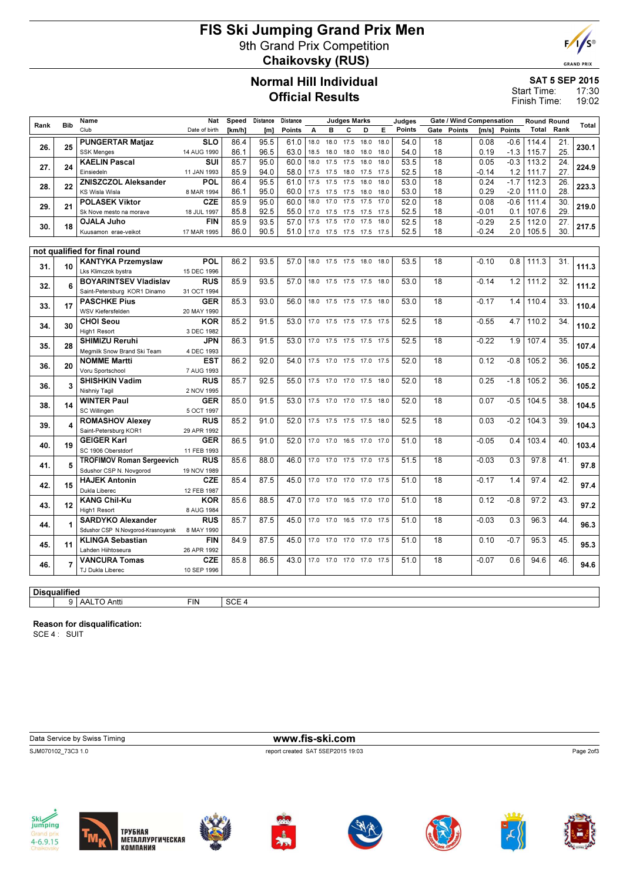# FIS Ski Jumping Grand Prix Men 9th Grand Prix Competition Chaikovsky (RUS)



**GRAND PRIX** 

# Normal Hill Individual Official Results

SAT 5 SEP 2015

17:30 19:02 Start Time: Finish Time:

|                     |                | Name                                          | Nat                       | Speed  | Distance | Distance |      |                          | <b>Judges Marks</b> |      |      | Judges |                 | <b>Gate / Wind Compensation</b> |         |               | <b>Round Round</b> |                   |       |
|---------------------|----------------|-----------------------------------------------|---------------------------|--------|----------|----------|------|--------------------------|---------------------|------|------|--------|-----------------|---------------------------------|---------|---------------|--------------------|-------------------|-------|
| Rank                | <b>Bib</b>     | Club                                          | Date of birth             | [km/h] | [m]      | Points   | А    | в                        | C                   | D    | Е    | Points | Gate            | Points                          | [m/s]   | <b>Points</b> |                    | <b>Total Rank</b> | Total |
|                     |                | <b>PUNGERTAR Matjaz</b>                       | <b>SLO</b>                | 86.4   | 95.5     | 61.0     | 18.0 | 18.0                     | 17.5 18.0           |      | 18.0 | 54.0   | 18              |                                 | 0.08    | $-0.6$        | 114.4              | 21.               |       |
| 26.                 | 25             | <b>SSK Menges</b>                             | 14 AUG 1990               | 86.1   | 96.5     | 63.0     | 18.5 | 18.0                     | 18.0                | 18.0 | 18.0 | 54.0   | 18              |                                 | 0.19    | $-1.3$        | 115.7              | 25.               | 230.1 |
|                     |                | <b>KAELIN Pascal</b>                          | SUI                       | 85.7   | 95.0     | 60.0     | 18.0 | 17.5                     | 17.5                | 18.0 | 18.0 | 53.5   | 18              |                                 | 0.05    | $-0.3$        | 113.2              | 24.               |       |
| 27.                 | 24             | Einsiedeln                                    | 11 JAN 1993               | 85.9   | 94.0     | 58.0     | 17.5 | 17.5                     | 18.0 17.5           |      | 17.5 | 52.5   | 18              |                                 | $-0.14$ | 1.2           | 111.7              | 27.               | 224.9 |
|                     |                | <b>ZNISZCZOL Aleksander</b>                   | POL                       | 86.4   | 95.5     | 61.0     | 17.5 | 17.5                     | 17.5                | 18.0 | 18.0 | 53.0   | $\overline{18}$ |                                 | 0.24    | $-1.7$        | 112.3              | 26.               |       |
| 28.                 | 22             | <b>KS Wisla Wisla</b>                         | 8 MAR 1994                | 86.1   | 95.0     | 60.0     | 17.5 | 17.5                     | 17.5 18.0           |      | 18.0 | 53.0   | 18              |                                 | 0.29    | $-2.0$        | 111.0              | 28.               | 223.3 |
|                     |                | <b>POLASEK Viktor</b>                         | <b>CZE</b>                | 85.9   | 95.0     | 60.0     | 18.0 | 17.0                     | 17.5                | 17.5 | 17.0 | 52.0   | 18              |                                 | 0.08    | $-0.6$        | 111.4              | 30.               |       |
| 29.                 | 21             | Sk Nove mesto na morave                       | 18 JUL 1997               | 85.8   | 92.5     | 55.0     | 17.0 | 17.5                     | 17.5 17.5 17.5      |      |      | 52.5   | 18              |                                 | $-0.01$ | 0.1           | 107.6              | 29.               | 219.0 |
|                     |                | <b>OJALA Juho</b>                             | <b>FIN</b>                | 85.9   | 93.5     | 57.0     | 17.5 | 17.5                     | 17.0                | 17.5 | 18.0 | 52.5   | $\overline{18}$ |                                 | $-0.29$ | 2.5           | 112.0              | 27.               |       |
| 30.                 | 18             | Kuusamon erae-veikot                          | 17 MAR 1995               | 86.0   | 90.5     | 51.0     |      | 17.0 17.5 17.5 17.5 17.5 |                     |      |      | 52.5   | 18              |                                 | $-0.24$ | 2.0           | 105.5              | 30.               | 217.5 |
|                     |                |                                               |                           |        |          |          |      |                          |                     |      |      |        |                 |                                 |         |               |                    |                   |       |
|                     |                | not qualified for final round                 |                           |        |          |          |      |                          |                     |      |      |        |                 |                                 |         |               |                    |                   |       |
|                     |                | <b>KANTYKA Przemyslaw</b>                     | POL                       | 86.2   | 93.5     | 57.0     | 18.0 |                          | 17.5 17.5 18.0      |      | 18.0 | 53.5   | 18              |                                 | $-0.10$ | 0.8           | 111.3              | 31.               |       |
| 31.                 | 10             | Lks Klimczok bystra                           | 15 DEC 1996               |        |          |          |      |                          |                     |      |      |        |                 |                                 |         |               |                    |                   | 111.3 |
|                     |                | <b>BOYARINTSEV Vladislav</b>                  | <b>RUS</b>                | 85.9   | 93.5     | 57.0     |      | 18.0 17.5 17.5 17.5 18.0 |                     |      |      | 53.0   | 18              |                                 | $-0.14$ | 1.2           | 111.2              | 32.               |       |
| 32.                 | 6              | Saint-Petersburg KOR1 Dinamo                  | 31 OCT 1994               |        |          |          |      |                          |                     |      |      |        |                 |                                 |         |               |                    |                   | 111.2 |
| 33.                 | 17             | <b>PASCHKE Pius</b>                           | <b>GER</b>                | 85.3   | 93.0     | 56.0     |      | 18.0 17.5 17.5 17.5 18.0 |                     |      |      | 53.0   | 18              |                                 | $-0.17$ | 1.4           | 110.4              | 33.               | 110.4 |
|                     |                | WSV Kiefersfelden                             | 20 MAY 1990               |        |          |          |      |                          |                     |      |      |        |                 |                                 |         |               |                    |                   |       |
| 34.                 | 30             | <b>CHOI Seou</b>                              | <b>KOR</b>                | 85.2   | 91.5     | 53.0     |      | 17.0 17.5 17.5 17.5 17.5 |                     |      |      | 52.5   | 18              |                                 | $-0.55$ | 4.7           | 110.2              | 34.               | 110.2 |
|                     |                | High1 Resort                                  | 3 DEC 1982                |        |          |          |      |                          |                     |      |      |        |                 |                                 |         |               |                    |                   |       |
| 35.                 | 28             | <b>SHIMIZU Reruhi</b>                         | <b>JPN</b>                | 86.3   | 91.5     | 53.0     |      | 17.0 17.5 17.5 17.5 17.5 |                     |      |      | 52.5   | 18              |                                 | $-0.22$ | 1.9           | 107.4              | 35.               | 107.4 |
|                     |                | Megmilk Snow Brand Ski Team                   | 4 DEC 1993                |        |          |          |      |                          |                     |      |      |        |                 |                                 |         |               |                    |                   |       |
| 36.                 | 20             | <b>NOMME Martti</b>                           | EST                       | 86.2   | 92.0     | 54.0     |      | 17.5 17.0 17.5 17.0 17.5 |                     |      |      | 52.0   | 18              |                                 | 0.12    | $-0.8$        | 105.2              | 36.               | 105.2 |
|                     |                | Voru Sportschool                              | 7 AUG 1993                |        |          |          |      |                          |                     |      |      |        |                 |                                 |         |               |                    |                   |       |
| 36.                 | 3              | <b>SHISHKIN Vadim</b>                         | <b>RUS</b>                | 85.7   | 92.5     | 55.0     |      | 17.5 17.0 17.0 17.5 18.0 |                     |      |      | 52.0   | 18              |                                 | 0.25    | $-1.8$        | 105.2              | 36.               | 105.2 |
|                     |                | Nishniy Tagil                                 | 2 NOV 1995                |        |          |          |      |                          |                     |      |      |        |                 |                                 |         |               |                    |                   |       |
| 38.                 | 14             | <b>WINTER Paul</b>                            | <b>GER</b>                | 85.0   | 91.5     | 53.0     |      | 17.5 17.0 17.0 17.5 18.0 |                     |      |      | 52.0   | 18              |                                 | 0.07    | $-0.5$        | 104.5              | 38.               | 104.5 |
|                     |                | SC Willingen                                  | 5 OCT 1997                |        |          |          |      |                          |                     |      |      |        |                 |                                 |         |               |                    |                   |       |
| 39.                 | 4              | <b>ROMASHOV Alexey</b>                        | <b>RUS</b>                | 85.2   | 91.0     | 52.0     |      | 17.5 17.5 17.5 17.5 18.0 |                     |      |      | 52.5   | 18              |                                 | 0.03    | $-0.2$        | 104.3              | 39.               | 104.3 |
|                     |                | Saint-Petersburg KOR1                         | 29 APR 1992               |        |          |          |      |                          |                     |      |      |        |                 |                                 |         |               |                    |                   |       |
| 40.                 | 19             | <b>GEIGER Karl</b>                            | <b>GER</b>                | 86.5   | 91.0     | 52.0     |      | 17.0 17.0                | 16.5 17.0 17.0      |      |      | 51.0   | 18              |                                 | $-0.05$ | 0.4           | 103.4              | 40.               | 103.4 |
|                     |                | SC 1906 Oberstdorf                            | 11 FEB 1993               |        |          |          |      |                          |                     |      |      |        |                 |                                 |         |               |                    |                   |       |
| 41.                 | 5              | <b>TROFIMOV Roman Sergeevich</b>              | <b>RUS</b>                | 85.6   | 88.0     | 46.0     |      | 17.0 17.0                | 17.5 17.0 17.5      |      |      | 51.5   | 18              |                                 | $-0.03$ | 0.3           | 97.8               | 41.               | 97.8  |
|                     |                | Sdushor CSP N. Novgorod                       | 19 NOV 1989               |        |          |          |      |                          |                     |      |      |        |                 |                                 |         |               |                    |                   |       |
| 42.                 | 15             | <b>HAJEK Antonin</b>                          | <b>CZE</b>                | 85.4   | 87.5     | 45.0     |      | 17.0 17.0 17.0 17.0 17.5 |                     |      |      | 51.0   | 18              |                                 | $-0.17$ | 1.4           | 97.4               | 42.               | 97.4  |
|                     |                | Dukla Liberec                                 | 12 FEB 1987               |        |          |          |      |                          |                     |      |      |        |                 |                                 |         |               |                    |                   |       |
| 43.                 | 12             | <b>KANG Chil-Ku</b>                           | <b>KOR</b>                | 85.6   | 88.5     | 47.0     |      | 17.0 17.0                | 16.5 17.0 17.0      |      |      | 51.0   | 18              |                                 | 0.12    | $-0.8$        | 97.2               | 43.               | 97.2  |
|                     |                | High1 Resort                                  | 8 AUG 1984                |        |          |          |      |                          |                     |      |      |        |                 |                                 |         |               |                    |                   |       |
| 44.                 | 1              | <b>SARDYKO Alexander</b>                      | <b>RUS</b>                | 85.7   | 87.5     | 45.0     |      | 17.0 17.0 16.5 17.0 17.5 |                     |      |      | 51.0   | 18              |                                 | $-0.03$ | 0.3           | 96.3               | 44.               | 96.3  |
|                     |                | Sdushor CSP N.Novgorod-Krasnoyarsk            | 8 MAY 1990                |        |          |          |      |                          |                     |      |      |        |                 |                                 |         |               |                    |                   |       |
| 45.                 | 11             | <b>KLINGA Sebastian</b><br>Lahden Hiihtoseura | <b>FIN</b>                | 84.9   | 87.5     | 45.0     |      | 17.0 17.0 17.0 17.0 17.5 |                     |      |      | 51.0   | 18              |                                 | 0.10    | $-0.7$        | 95.3               | 45.               | 95.3  |
|                     |                |                                               | 26 APR 1992<br><b>CZE</b> |        | 86.5     | 43.0     |      | 17.0 17.0 17.0 17.0 17.5 |                     |      |      | 51.0   | 18              |                                 | $-0.07$ | 0.6           | 94.6               |                   |       |
| 46.                 | $\overline{7}$ | <b>VANCURA Tomas</b><br>TJ Dukla Liberec      | 10 SEP 1996               | 85.8   |          |          |      |                          |                     |      |      |        |                 |                                 |         |               |                    | 46.               | 94.6  |
|                     |                |                                               |                           |        |          |          |      |                          |                     |      |      |        |                 |                                 |         |               |                    |                   |       |
|                     |                |                                               |                           |        |          |          |      |                          |                     |      |      |        |                 |                                 |         |               |                    |                   |       |
| <b>Disqualified</b> |                |                                               |                           |        |          |          |      |                          |                     |      |      |        |                 |                                 |         |               |                    |                   |       |

9 AALTO Antti FIN SCE 4

Reason for disqualification:

SCE 4 : SUIT

Data Service by Swiss Timing **www.fis-ski.com** SJM070102\_73C3 1.0 report created SAT 5SEP2015 19:03

Page 2of3